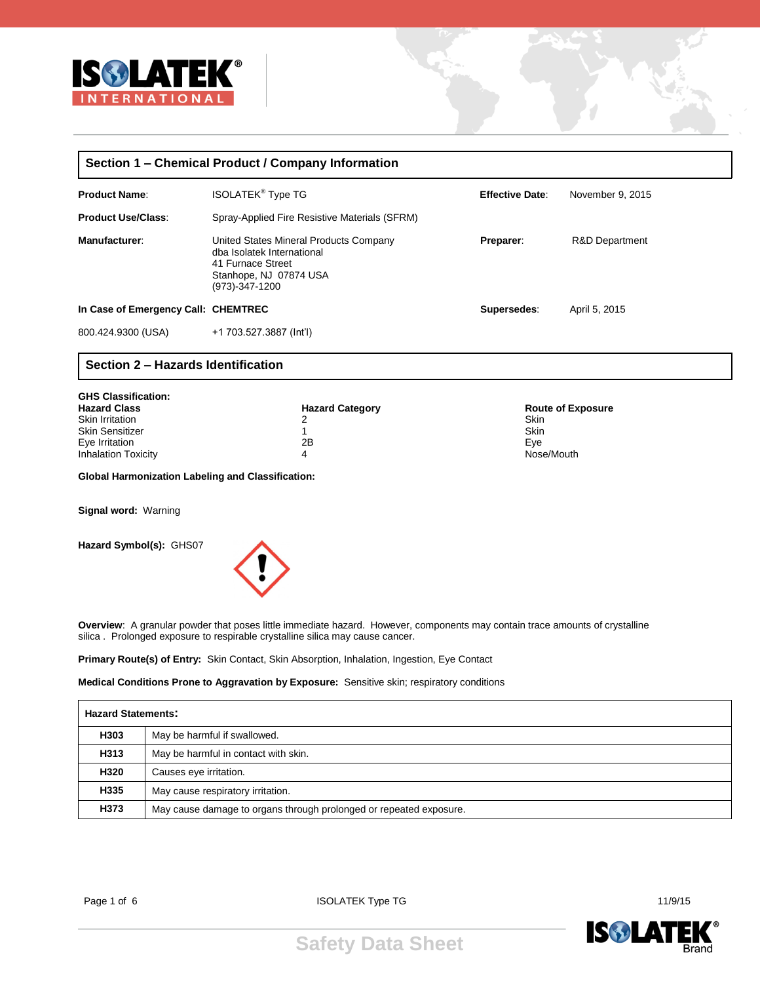

| Section 1 – Chemical Product / Company Information |                                                                                                                                       |                        |                  |  |  |
|----------------------------------------------------|---------------------------------------------------------------------------------------------------------------------------------------|------------------------|------------------|--|--|
| <b>Product Name:</b>                               | <b>ISOLATEK<sup>®</sup> Type TG</b>                                                                                                   | <b>Effective Date:</b> | November 9, 2015 |  |  |
| <b>Product Use/Class:</b>                          | Spray-Applied Fire Resistive Materials (SFRM)                                                                                         |                        |                  |  |  |
| Manufacturer:                                      | United States Mineral Products Company<br>dba Isolatek International<br>41 Furnace Street<br>Stanhope, NJ 07874 USA<br>(973)-347-1200 | Preparer:              | R&D Department   |  |  |
| In Case of Emergency Call: CHEMTREC                |                                                                                                                                       | Supersedes:            | April 5, 2015    |  |  |
| 800.424.9300 (USA)                                 | +1 703.527.3887 (Int'l)                                                                                                               |                        |                  |  |  |

## **Section 2 – Hazards Identification**

| <b>GHS Classification:</b> |                        |                          |
|----------------------------|------------------------|--------------------------|
| <b>Hazard Class</b>        | <b>Hazard Category</b> | <b>Route of Exposure</b> |
| <b>Skin Irritation</b>     | າ                      | Skin                     |
| <b>Skin Sensitizer</b>     |                        | Skin                     |
| Eye Irritation             | 2B                     | Eve                      |
| <b>Inhalation Toxicity</b> | 4                      | Nose/Mouth               |

**Global Harmonization Labeling and Classification:**

**Signal word:** Warning

**Hazard Symbol(s):** GHS07



**Overview**: A granular powder that poses little immediate hazard. However, components may contain trace amounts of crystalline silica . Prolonged exposure to respirable crystalline silica may cause cancer.

**Primary Route(s) of Entry:** Skin Contact, Skin Absorption, Inhalation, Ingestion, Eye Contact

**Medical Conditions Prone to Aggravation by Exposure:** Sensitive skin; respiratory conditions

|      | <b>Hazard Statements:</b>                                          |  |  |
|------|--------------------------------------------------------------------|--|--|
| H303 | May be harmful if swallowed.                                       |  |  |
| H313 | May be harmful in contact with skin.                               |  |  |
| H320 | Causes eye irritation.                                             |  |  |
| H335 | May cause respiratory irritation.                                  |  |  |
| H373 | May cause damage to organs through prolonged or repeated exposure. |  |  |

Page 1 of 6 and 11/9/15 and 11/9/15 is in the ISOLATEK Type TG and the Internal term of the Internal term of the Internal term of the Internal term of the Internal term of the Internal term of the Internal term of the Inte

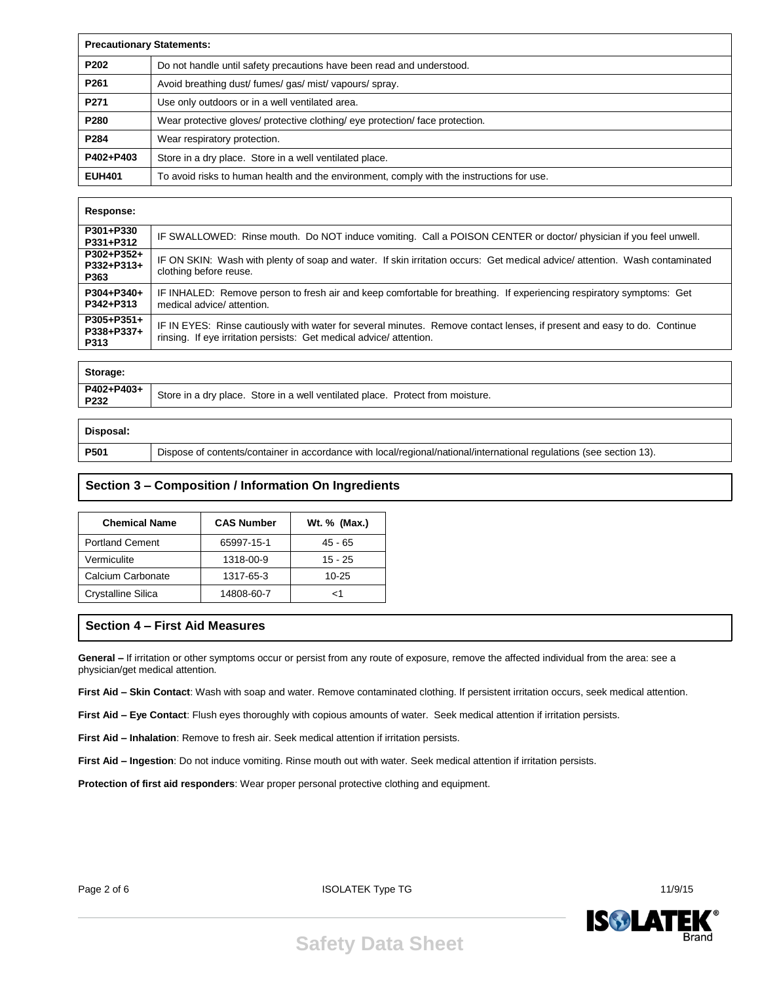|                  | <b>Precautionary Statements:</b>                                                          |  |  |
|------------------|-------------------------------------------------------------------------------------------|--|--|
| P <sub>202</sub> | Do not handle until safety precautions have been read and understood.                     |  |  |
| P <sub>261</sub> | Avoid breathing dust/fumes/gas/mist/vapours/spray.                                        |  |  |
| P271             | Use only outdoors or in a well ventilated area.                                           |  |  |
| P <sub>280</sub> | Wear protective gloves/ protective clothing/ eye protection/ face protection.             |  |  |
| P284             | Wear respiratory protection.                                                              |  |  |
| P402+P403        | Store in a dry place. Store in a well ventilated place.                                   |  |  |
| <b>EUH401</b>    | To avoid risks to human health and the environment, comply with the instructions for use. |  |  |

#### **Response:**

| P301+P330<br>P331+P312           | IF SWALLOWED: Rinse mouth. Do NOT induce vomiting. Call a POISON CENTER or doctor/ physician if you feel unwell.                                                                              |
|----------------------------------|-----------------------------------------------------------------------------------------------------------------------------------------------------------------------------------------------|
| P302+P352+<br>P332+P313+<br>P363 | IF ON SKIN: Wash with plenty of soap and water. If skin irritation occurs: Get medical advice/ attention. Wash contaminated<br>clothing before reuse.                                         |
| P304+P340+<br>P342+P313          | IF INHALED: Remove person to fresh air and keep comfortable for breathing. If experiencing respiratory symptoms: Get<br>medical advice/ attention.                                            |
| P305+P351+<br>P338+P337+<br>P313 | IF IN EYES: Rinse cautiously with water for several minutes. Remove contact lenses, if present and easy to do. Continue<br>rinsing. If eye irritation persists: Get medical advice/attention. |
|                                  |                                                                                                                                                                                               |

| Storage:           |                                                                                |
|--------------------|--------------------------------------------------------------------------------|
| P402+P403+<br>P232 | Store in a dry place. Store in a well ventilated place. Protect from moisture. |
|                    |                                                                                |

| Disposal:   |                                                                                                                      |
|-------------|----------------------------------------------------------------------------------------------------------------------|
| <b>P501</b> | Dispose of contents/container in accordance with local/regional/national/international regulations (see section 13). |

# **Section 3 – Composition / Information On Ingredients**

| <b>Chemical Name</b>   | <b>CAS Number</b> | Wt. % (Max.) |
|------------------------|-------------------|--------------|
| <b>Portland Cement</b> | 65997-15-1        | $45 - 65$    |
| Vermiculite            | 1318-00-9         | 15 - 25      |
| Calcium Carbonate      | 1317-65-3         | 10-25        |
| Crystalline Silica     | 14808-60-7        | 1>           |

## **Section 4 – First Aid Measures**

**General –** If irritation or other symptoms occur or persist from any route of exposure, remove the affected individual from the area: see a physician/get medical attention.

**First Aid – Skin Contact**: Wash with soap and water. Remove contaminated clothing. If persistent irritation occurs, seek medical attention.

**First Aid – Eye Contact**: Flush eyes thoroughly with copious amounts of water. Seek medical attention if irritation persists.

**First Aid – Inhalation**: Remove to fresh air. Seek medical attention if irritation persists.

**First Aid – Ingestion**: Do not induce vomiting. Rinse mouth out with water. Seek medical attention if irritation persists.

**Protection of first aid responders**: Wear proper personal protective clothing and equipment.

Page 2 of 6 11/9/15





**Safety Data Sheet**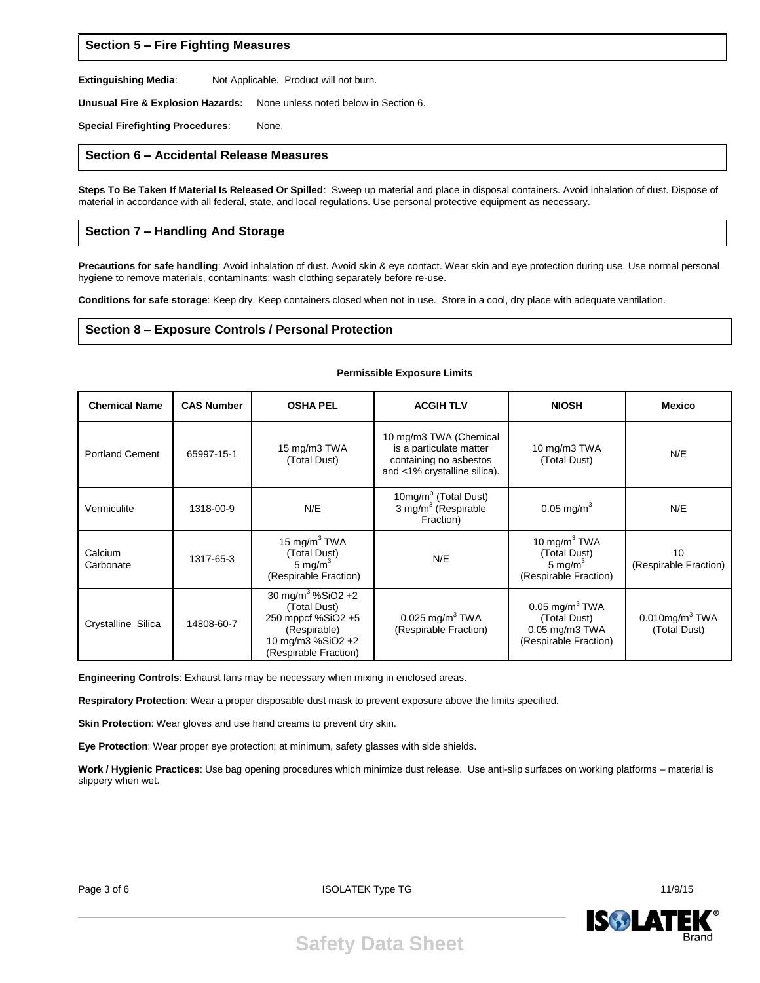#### **Section 5 – Fire Fighting Measures**

**Extinguishing Media**: Not Applicable. Product will not burn.

**Unusual Fire & Explosion Hazards:** None unless noted below in Section 6.

**Special Firefighting Procedures**: None.

#### **Section 6 – Accidental Release Measures**

**Steps To Be Taken If Material Is Released Or Spilled**: Sweep up material and place in disposal containers. Avoid inhalation of dust. Dispose of material in accordance with all federal, state, and local regulations. Use personal protective equipment as necessary.

#### **Section 7 – Handling And Storage**

**Precautions for safe handling**: Avoid inhalation of dust. Avoid skin & eye contact. Wear skin and eye protection during use. Use normal personal hygiene to remove materials, contaminants; wash clothing separately before re-use.

**Permissible Exposure Limits**

**Conditions for safe storage**: Keep dry. Keep containers closed when not in use. Store in a cool, dry place with adequate ventilation.

#### **Section 8 – Exposure Controls / Personal Protection**

#### **Chemical Name CAS Number OSHA PEL ACGIH TLV NIOSH Mexico** Portland Cement | 65997-15-1 15 mg/m3 TWA (Total Dust) 10 mg/m3 TWA (Chemical is a particulate matter containing no asbestos and <1% crystalline silica). 10 mg/m3 TWA (Total Dust) N/E Vermiculite 1318-00-9 N/E 10mg/m $3$  (Total Dust)<br>3 mg/m $3$  (Respirable Fraction)  $0.05 \text{ mg/m}^3$  N/E **Calcium** Carbonate 1317-65-3 15 mg/m $3$  TWA (Total Dust) 5 mg/ $m<sup>3</sup>$ (Respirable Fraction) N/E 10 mg/m $3$  TWA (Total Dust) 5 mg/ $m<sup>3</sup>$ (Respirable Fraction) 10 (Respirable Fraction) Crystalline Silica | 14808-60-7 30 mg/m $3\%$ SiO2 +2 (Total Dust) 250 mppcf %SiO2 +5 (Respirable) 10 mg/m3 %SiO2 +2 (Respirable Fraction)  $0.025$  mg/m $^3$  TWA (Respirable Fraction)  $0.05$  mg/m $^3$  TWA (Total Dust) 0.05 mg/m3 TWA (Respirable Fraction)  $0.010$ mg/m $3$  TWA (Total Dust)

**Engineering Controls**: Exhaust fans may be necessary when mixing in enclosed areas.

**Respiratory Protection**: Wear a proper disposable dust mask to prevent exposure above the limits specified.

**Skin Protection**: Wear gloves and use hand creams to prevent dry skin.

**Eye Protection**: Wear proper eye protection; at minimum, safety glasses with side shields.

**Work / Hygienic Practices**: Use bag opening procedures which minimize dust release. Use anti-slip surfaces on working platforms – material is slippery when wet.

Page 3 of 6 ISOLATEK Type TG **ISOLATEK Type TG** is a set of the set of the set of the set of the set of the set of the set of the set of the set of the set of the set of the set of the set of the set of the set of the set

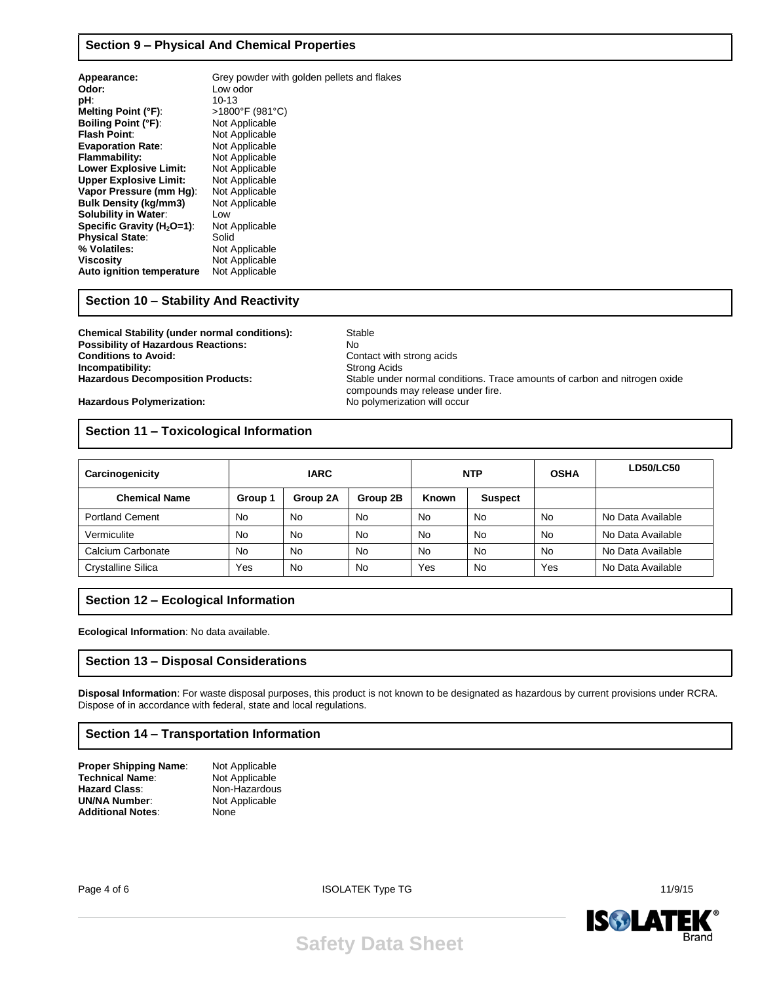## **Section 9 – Physical And Chemical Properties**

| Appearance:                   | Grey powder with golden pellets and flakes |
|-------------------------------|--------------------------------------------|
| Odor:                         | Low odor                                   |
| pH:                           | $10 - 13$                                  |
| <b>Melting Point (°F):</b>    | >1800°F (981°C)                            |
| <b>Boiling Point (°F):</b>    | Not Applicable                             |
| <b>Flash Point:</b>           | Not Applicable                             |
| <b>Evaporation Rate:</b>      | Not Applicable                             |
| Flammability:                 | Not Applicable                             |
| <b>Lower Explosive Limit:</b> | Not Applicable                             |
| <b>Upper Explosive Limit:</b> | Not Applicable                             |
| Vapor Pressure (mm Hq):       | Not Applicable                             |
| <b>Bulk Density (kg/mm3)</b>  | Not Applicable                             |
| <b>Solubility in Water:</b>   | Low                                        |
| Specific Gravity $(H2O=1)$ :  | Not Applicable                             |
| <b>Physical State:</b>        | Solid                                      |
| % Volatiles:                  | Not Applicable                             |
| <b>Viscosity</b>              | Not Applicable                             |
| Auto ignition temperature     | Not Applicable                             |
|                               |                                            |

#### **Section 10 – Stability And Reactivity**

**Chemical Stability (under normal conditions):** Stable **Possibility of Hazardous Reactions:** No<br> **Conditions to Avoid:** Cor **Incompatibility:** 

**Contact with strong acids**<br>Strong Acids **Hazardous Decomposition Products:** Stable under normal conditions. Trace amounts of carbon and nitrogen oxide compounds may release under fire.<br>No polymerization will occur

**Hazardous Polymerization:** 

## **Section 11 – Toxicological Information**

| Carcinogenicity           | <b>IARC</b> |           | <b>NTP</b> |           | <b>OSHA</b>    | <b>LD50/LC50</b> |                   |
|---------------------------|-------------|-----------|------------|-----------|----------------|------------------|-------------------|
| <b>Chemical Name</b>      | Group 1     | Group 2A  | Group 2B   | Known     | <b>Suspect</b> |                  |                   |
| <b>Portland Cement</b>    | No          | No        | <b>No</b>  | <b>No</b> | <b>No</b>      | No               | No Data Available |
| Vermiculite               | No          | No        | No         | <b>No</b> | <b>No</b>      | <b>No</b>        | No Data Available |
| Calcium Carbonate         | No          | <b>No</b> | <b>No</b>  | No        | <b>No</b>      | No               | No Data Available |
| <b>Crystalline Silica</b> | Yes         | No        | No         | Yes       | No             | Yes              | No Data Available |

## **Section 12 – Ecological Information**

**Ecological Information**: No data available.

## **Section 13 – Disposal Considerations**

**Disposal Information**: For waste disposal purposes, this product is not known to be designated as hazardous by current provisions under RCRA. Dispose of in accordance with federal, state and local regulations.

## **Section 14 – Transportation Information**

| Proper Shipping Name:    | Not Applicable |
|--------------------------|----------------|
| Technical Name:          | Not Applicable |
| Hazard Class:            | Non-Hazardous  |
| <b>UN/NA Number:</b>     | Not Applicable |
| <b>Additional Notes:</b> | None           |

Page 4 of 6 11/9/15



**Safety Data Sheet**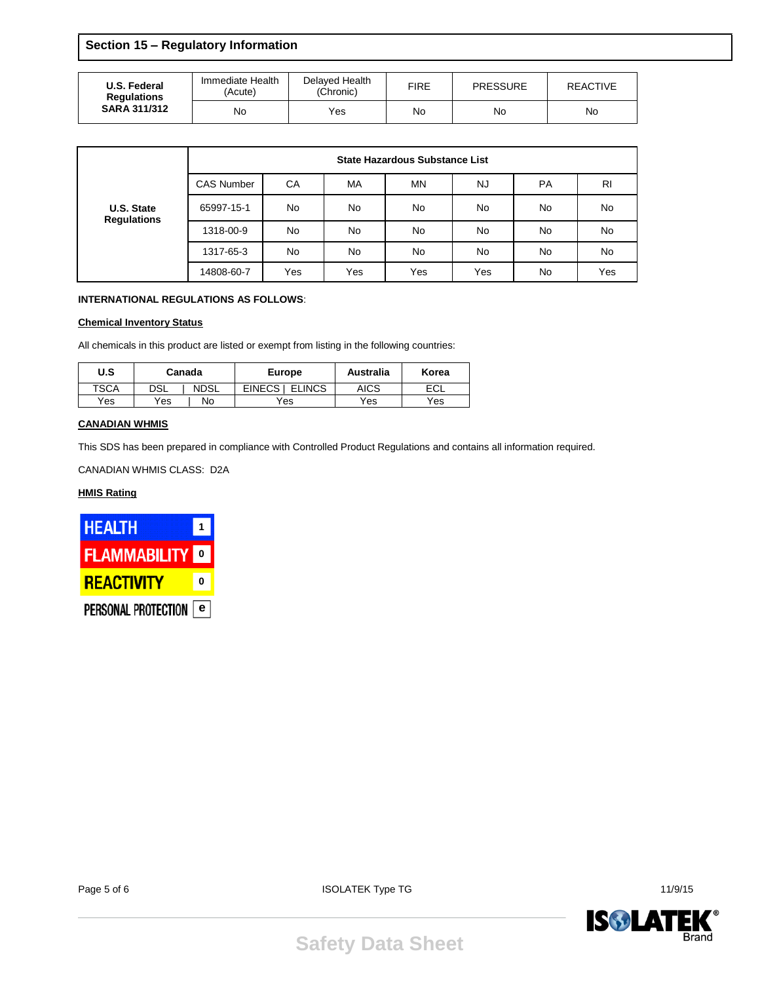**Section 15 – Regulatory Information**

| U.S. Federal<br><b>Regulations</b><br><b>SARA 311/312</b> | Immediate Health<br>(Acute) | Delaved Health<br>(Chronic) |    | <b>PRESSURE</b> | REACTIVE |
|-----------------------------------------------------------|-----------------------------|-----------------------------|----|-----------------|----------|
|                                                           | No                          | Yes                         | No | No              | No       |

|                                  | <b>State Hazardous Substance List</b> |           |     |     |     |           |                |  |
|----------------------------------|---------------------------------------|-----------|-----|-----|-----|-----------|----------------|--|
| U.S. State<br><b>Regulations</b> | <b>CAS Number</b>                     | CA        | MA  | ΜN  | NJ  | <b>PA</b> | R <sub>l</sub> |  |
|                                  | 65997-15-1                            | No        | No  | No  | No  | No        | No             |  |
|                                  | 1318-00-9                             | <b>No</b> | No  | No  | No  | No        | No             |  |
|                                  | 1317-65-3                             | No        | No  | No. | No  | No        | No             |  |
|                                  | 14808-60-7                            | Yes       | Yes | Yes | Yes | No        | Yes            |  |

#### **INTERNATIONAL REGULATIONS AS FOLLOWS**:

#### **Chemical Inventory Status**

All chemicals in this product are listed or exempt from listing in the following countries:

| U.S         | Canada |             | <b>Europe</b>             | Australia   | Korea |
|-------------|--------|-------------|---------------------------|-------------|-------|
| <b>TSCA</b> | DSL    | <b>NDSL</b> | EINECS I<br><b>ELINCS</b> | <b>AICS</b> | ECL   |
| Yes         | Yes    | No          | Yes                       | Yes         | Yes   |

#### **CANADIAN WHMIS**

This SDS has been prepared in compliance with Controlled Product Regulations and contains all information required.

CANADIAN WHMIS CLASS: D2A

## **HMIS Rating**



Page 5 of 6 11/9/15